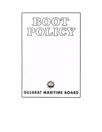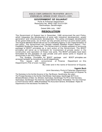

#### **GOVERNMENT OF GUJARAT**

Ports & Fisheries Department Resolution No. WKS-1097-G-213-GH Sachivalaya, Gandhinagar.

Dated 29th July, 1997

#### **RESOLUTION**

The Government of Gujarat has in December, 1995 announced the port Policy, which integrates the development of ports with industiral development, power generation and infrastructure development. The policy envisages development of ten green-field ports, six of them as fully private and four as joint sector ports. The Gujarat Maritime Board will act as Co-ordinating Agency in the implementation of this policy. The Government has already initiated Detailed Project Report / Pre-Feasibility Studies for these sites. The Government is hereby pleased to announce package of BOOT principles as a next action of the Government. The BOOT principles will serve as a framework for involvement of private sector in the construction and operation of these new ports. The BOOT principles have been formulated for the operation of new private and joint sector ports in Gujarat as announced in the Port Policy, 1995.

The Guiding Principles for BOOT package and BOOT principles are annexed herewith as Annexure-A and B respectively.

Department on this Department's File of even number.

By order and in the name of Governor of Gujarat,

**Vagmin Buch**

Joint Secretary Ports & Fisheries Department Government of Gujarat To,

The Sectretary to the Hon'ble Governor of Guj. Raj Bhavan, Gandhinahar (By Letter) The Principal Secretary to the Hon'ble Chief Minister, Sachivalaya, Gandhinagar All P.S.s to Ministers/Ministers of State / Dy. Ministers, Sachivalaya, Gandhinagar The PS to Chief Secretary, Sachivalaya, Gandhinagar The Chairman, Gujarat Maritime Board, Ahmedabad. The Vice Chairman & Chief Executive Officer, GMB Ahmedabad The Accountant General, Ahmedabad / Rajkot All Departments of the Secretariat The Select file.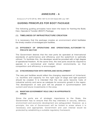# **ANNEXURE - A**

Annexure to P & FD GR No. WKS-1097-G-213-GH Dated 29th July 1997.

# **GUIDING PRINCIPLES FOR BOOT PACKAGE**

The following guiding principles have been the basis for framing the Build, Own, Operate & Transfer (BOOT) Package.

## **(1) TIMELINESS OF INFRASTRUCTURE CREATION**

It is necessary that the package creates an environment which facilitates the timely creation of envisaged port facilities.

### **(2) EFFICIENCY OF OPERATIONS AND OPERATIONAL AUTONOMY TO PRIVATE SECTOR**

The Government desires that the new ports be operated at International standards of performance and efficiency and the waterfront is optimally utilized. To facilitate this, the developer would be provided with a high degree of operational freedom. At the same time, the new ports would be required to operate in a commerical and market driven environments, so that competition and efficiency is encouraged.

#### **(3) SYNCHRONISATION WITH HINTERLAND DEVELOPMENT**

The new port facilities would reflect the changing requirement of hinterland, i.e. facilities and capacity for the right type of cargo and right quantum should be created. It is intended that the new ports become hubs of industrial activity and serve as catalysts for economic growth in the region. The development of new port will be phased in synchronisation with current and future investments in the area.

#### **(4) MAINTAIN GOVERNMENT ROLE ONLY IN APPROPRIATE AREAS**

Since the ports are of strategic importance to the State, the Government has to ensure that the key interests in security, defence, environment and economic development are safeguarded. However, as a principle, the role of Government will be limited to areas where it is necessary and appropriate. Government and user interest would be protected by establishing a suitable regulatory framework.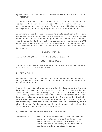#### (5) ENSURING THAT GOVERNMENT'S FINANCIAL LIABILITIES ARE KEPT AT A MINIMUM

The Ports are to be developed as commercially viable entities capable of operating without Government support. Given the commercial nature of port operations, their recourse to the Government would be kept to minimum and responsibility of financing the port will rest with the developer.

Government will grant licence/concession to private developer to build, own, operate and manage port facilities for a specific period. The Government will permit the developer to create a mortgage/hypothecation of real estate as a security for lenders to the project. This permission will be limited to BOOT period, after which the assets will be transferred back to the Government. The ownership of the land and waterfront will always vest with the Government.

# ANNEXURE - B

Annexure to P & FD QR No. WKS - 1097 - G - 213-QH Dated 29th July, 1997.

## BOOT PRINCIPLES

The BOOT Principles, evolved on the basis of guiding principles referred to in ANNEXURE - A, are as under.

#### (I) DEFINITIONS

"Developer"- The word "Developer" has been used in this documents to convey the various roles played by private parties at different stages of the development of the port.

Prior to the selection of a private party for the development of the port, "Developer" indicates a company or a consortium of companies that are interested in or have bid for developing the port, After the government has selected the private party responsbile for the development of the port. "Developer"indicates the party selected by the Government for developing the proposed site. During construction, operation and transfer of the port, "Developer" implies the project company that has been constituted by various private interests for implementing the port project, with whom the Government will sign a Concession Agreement.

#### (II) THE BCIILD STAGE OF THE BOOT PACKAGE

1. Land Location The GMB will identify the port location and delineate the area of waterfront and back-up land. In the event that the Developer Proposes and alternative site in the vicinity of the specified area, the Government may consider the same.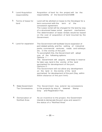- 2. Land Acquisition responsibility Acquisition of land for the project will be the responsibility of the Government/GMB 3. Terms of lease for land Land will be allotted on lease to the Developer for a term concurrent with the term of the concession agreement. The Lease rental will be charged for the land by way of a structured lease rental payment mechanism. The determination of lease rentals would be based on the cost of acquisition of land incurred by the Government. 4 Land for expansion The Government will facilitate future expansion of port related activity, and the setting of industrial parks, commercial ventures, roads and railways etc. in the vicinity of the port. To accomplish this, the Government will adopt one of the following options: Options 1 : The Government will acquire, and keep in reserve for later use, land in the vicinity of the land earmarked for development of the port. Options 2 : The Government will not allow any development on the land in the vicinity of the land earmarked for development of the port (Say, within 500m distance of the port limit) 5. State Government Tax Concessions The Government may extend tax concessions to the projects by way of lowered Stamp Duty and Registration Fee.
	- 6. Demarcation of Notified Area As an incentive to the project, the Government intends to demarcate the port area and award it the status of a "Notified Area"

 $-35-$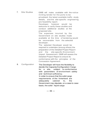| 7. | <b>Site Studies</b> | GMB will make available with the notice<br>inviting tender for the ports to be<br>privatised, the latest available traffic study<br>details, and the site-specific engineering<br>pre-feasibility report.<br>Developer, however would<br>be<br>welcome to verify these studies and<br>conduct additional studies at the<br>proposed site.<br>The<br>expenses incurred by the<br>Government on site studies made<br>available at the time of tendering would<br>be recoverable from the selected<br>developer.<br>The selected Developer would be<br>required to undertake (among others) the<br>preparation of the Detailed Project Report<br>site-specific Environment<br>and<br>the<br>Impact Assessment. GMB will assess the<br>Detailed Project Report to ensure its<br>conformance with the principles of the<br><b>Concession Agreement.</b> |
|----|---------------------|----------------------------------------------------------------------------------------------------------------------------------------------------------------------------------------------------------------------------------------------------------------------------------------------------------------------------------------------------------------------------------------------------------------------------------------------------------------------------------------------------------------------------------------------------------------------------------------------------------------------------------------------------------------------------------------------------------------------------------------------------------------------------------------------------------------------------------------------------|
| 8. | Configuration       | The Developer will have the flexibility to<br>decide the Capacity/Configuration/ Cargo<br>subject to conformance<br>for<br>$\overline{a}$<br>site,<br>with parameters of environment safety<br>and technical sufficiency.<br>In order to ensure that the solid cargo<br>requirements of the hinterland are<br>adequately<br>the<br>catered<br>to,<br>Government may stipulate, on a case-to case<br>basis, the solid : liquid cargo                                                                                                                                                                                                                                                                                                                                                                                                                |

 $-36-$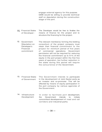engage external agency for this purpose. GMB would be willing to provide technical staff on deputation during the construction stage of the port.

- 11 Financial Stake of Developer : The Developer would be free to finalise the means of finance for the project and to structure the financing for the project.
- 12. Government Stipulation on Developer's Financial commitment The relevant member(s) forming the bidding consortium of the project company must retain their financial commitment to the project for minimum period of five years of commercial operations. Government permission will not be required for reducing the financial commitment up to 51% of the equity in the port project within the first five years of operation, but further reduction in the stake during this period will require the concurrence of the Government.
- 13. Financial Stake of Government The Government intends to participate in the development of Joint Sector ports as an investor and co-promoter. This will be effected by means of equity participation in the port company by various agencies of the Government.
- 14. Infrastructure Development In order to facilitate port development, the Government intends to initiate concomitant developement of road and rail corridors and industrial parks.

 $-38-$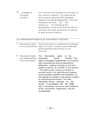15 . Linkages to **Transport** corridors The road and rail linkages from the port to the nearest highway / rail head will be structured as separate BOT packages, subject to the relevant legislations. The port Developer will have the first preference of undertaking this development. In the event that the offer is declined, the same would then be offered to other private investors.

#### (III) OWNERSHIP RIGHTS OF DIFFERENT PARTIES

|  | 1 Ownership rights The Government is vested with sovereign  |
|--|-------------------------------------------------------------|
|  | of the Government rights as owner, overseer and conservator |
|  | of the waterfront and licensor to the                       |
|  | Contract.                                                   |
|  |                                                             |

2. Ownership Rights and responsiblities of the Developer The Ownership rights of the Developer would include \* The right to mortgage, hypothecate or to execute such covenants as may be required for effectively vesting a charge on the port assets in favour of a lender to the project. \* The right to sell, convey or transfer to another entity, the right title and interest and concession vested in the Developer, on the request of a lender to the project, subject to contractual documents. The new Developer will be selected by the lender in consultation with the GMB, and if necessary, the terms and conditions of the concession Agreement may be renegotiated.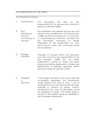## (IV) OPERATION OF THE PORT

#### (A) Operational Issues

- 1. Conservancy The Developer will take on the responsiblity for the conservancy function of the port on behalf of GMB.
- 2. Port Operator(s) and sub contracting of services The Developer may operate the port as a Full Service or as a Landlord port. The Government / GMB will Permit subleasing of facilities or subcontracting of services, provided that the Developer continues to remain responsible to the Government for due performance under the contracted terms and conditions.
- 3. Pilotage Provision Pilotage of vessels within the particular port limit would be the responsibility of the port operator. GMB will lay down qualification criteria for pilots and grant licenses permitting deployment of pilots and appointment of pilotage agencies, which would be subject to periodic review.
- 4. Obligator y Services In the larger interests of the port's safe and un-hindered operations, the Government would specify from time to time, a list of essential services (non-commercial) services, (typically in respect of safety, health, environment etc.) that the Developer would be obligated to render. The broad areas of service in this respect would be stipulated in the Concession Agreement.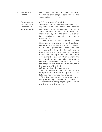- 5. Value Added Service The Developer would have complete freedom to offer cargo related value-added services in the port premises.
- 6. Expansion of facilities and **Competition** between ports (a) Expansion of facilities The developers would be encouraged to add capacity over and above the capacity contracted in the concession agreement. Such expansions will be eligible for

holidays etc. At the time of the signing of the Concession Agreement, the Developer will submit, and get approved by GMB, a broad perspective plan for the development of the port in the next fifteen to twenty years. The Government will not place restrictions on any expansion and further development of the port which is within the envisaged perspective plan, subject to statutory clearances. Expansions outside the scope of this plan would be subject to the approval of the GMB.

incentives by the Government, such as land acquisition, extension of royalty

(b) Competition between ports

The Goverment would encourage competition between ports. The following, however, would be ensured.

\* The development of the ten ports would be appropriately phased over a period.

\* Permission to set up captive jetties would not be granted, save in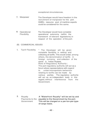exceptional circumstances.

- 7. Manpower The Developer would have freedom in the recruitment of manpower for the port. GMB's resource pool of maritime experts could be considered for the same.
- 8. Operational Flexibility The Developer would have complete operational autonomy (within the framework of relevant legislations) in respect of the operation of the port.
- (B) COMMERCIAL ISSUES
- 1. Tarrif Flexibility \* The Developer will be given complete flexibility in setting and collecting all tariffs. This would entail, among others, the denomination of tariffs in foreign currency and collection of the same in Indian Rupees. Role of Regulatory Authority : The port regulatory authority will act as a forum where representations with regard to unfair/monopolistic behaviour relating to tariffs can be made by various parties. The regulatory authority will act as an independent body in this regard, without interference from the Government.
- 2. Royalty Payments to the payable to the Government by the port. **Government** A "Waterfront Royalty" will be set by and This will be charged on a per-ton-per-typeof-cargo basis.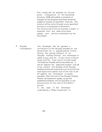This royalty will be payable by all new ports, irrespective of the ownership structure. GMB will publish a schedule of charges for this purpose and these would be subject to revision at specified intervals. The revision will be done through a pre-specified formula or a transparent mechanism. The Government will not partake a share in revenues from any other core/value added port service undertaken by the Developer.

3. Royalty **Concessions** The Developer will be granted a concession on the Royalty payable to the Government for a specific period of time. During this period (reffered to as 'Royalty Holiday Period'), the Developer is liable to pay only Rs. 10 per tonne of liquid cargo and Rs. 5 per tonne of solid cargo. The balance Royalty will be permitted as a set off against the approved Capital cost @ of the project. The duration of the Royalty Holiday period will extend till such time that the total approved capital cost of the site is set off against the concession in royalty payable. After the end of the Royalty Holiday Period, full waterfront royalty, as per the published schedule, will be payable to the Government for the rest of the BOOT period. In the case of the Developer undertaking a "Major Expansion" of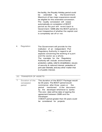the facility, the Royalty Holiday period could be extended by the Government. Maximum of two major expansions would be eligible for this extended concession. The royalty concession will cease automatically on completion of BOOT period as the port will revert back to Government / GMB after the BOOT period is over irrespective of whether the capital cost is completely set off or not.

4. Regulation The Government will provide for the institution of an independent Port Regulatory Authority in regard to all aspects concerning the working of a port and the sector as a whole. The mandate for the Regulatory Authority will include environmental protection, safety, relief & rehabilitation, issues of security & national interest, protection of port user interests, and any other matter that is of public interest.

#### (V) TRANSFER OF ASSETS

| 1. | Duration of the<br>concession | The duration of the BOOT Package would<br>be 30 years. The BOOT period would |
|----|-------------------------------|------------------------------------------------------------------------------|
|    |                               |                                                                              |
|    | period                        | commence after three years or<br>the                                         |
|    |                               | period mentioned in the document                                             |
|    |                               | by the developer whichever is earlier.                                       |
|    |                               | The zero date will be date of signing the                                    |
|    |                               | agreement between GMB and the                                                |
|    |                               | Developer.                                                                   |
|    |                               | A BOOT period greater than 30 years could                                    |
|    |                               | be considered for projects                                                   |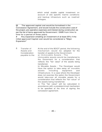which entail sizable capital investment on account of site specific marine conditions and backup infrascture such as road/rail linkages.

@ The approved capital cost would be formalised in the Concession Agreement, and would include the construction cost of the project, pre-operative expenses and interest during construction as per the list of items approved by Government / GMB from time to time for a period of three years.

# Any expansion entailing an investment of at least 25% if the initial approved Capital cost would be considered a "Major Expansion"

| 2. | Transfer of<br>Assets and<br>Consideration<br>payable to the | At the end of the BOOT period, the following<br>mechanism would be adopted for the<br>transfer of assets to the Government.<br>a) Immovable Assets : The<br>immovable assets would be transferred to<br>the Goverment for a consideration that<br>reflects the "fair value" of the assets being<br>transferred.                                           |
|----|--------------------------------------------------------------|-----------------------------------------------------------------------------------------------------------------------------------------------------------------------------------------------------------------------------------------------------------------------------------------------------------------------------------------------------------|
|    |                                                              | b) Movable Assets : The Developer would<br>have the option to take away all movable<br>assets including equipment<br>and<br>infrastructure. In a case where the Developer<br>does not exercise this option the Government<br>would take-over all movable assets for a<br>consideration that reflects the "fair value" of<br>the assets being transferred. |
|    |                                                              | c) The "fair value" will be calculated in<br>accordance with a predetermined mechanism<br>to be specified at the time of signing the<br>concession agreement.                                                                                                                                                                                             |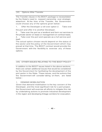#### (VI) Options After Transfer

The Transfer clause in the BOOT package is necessitated by the State's need to reassert ownership over strategic waterfront. At the time of the Transfer, the Government could choose any of the options given below :

1. Offer the Developer a roll-over option 2. Take over

the port and offer it to another Developer.

3. Take over the port as a landlord and farm out services to the private sector on lease or management on contract basis,

4. Take over the port and operate as a full service port itself.

The actual option chosen would depend on the status of the sector and the policy of the Government which may prevail at that time. The BOOT contract would provide the Government with the flexibility to exercise any of these options.

## (VII) OTHER ISSUES RELATING TO THE BOOT POLICY

In addition to the BOOT issues listed in the above sections, there are certain additional issues that would be considered by the Government for facilitating the development of the port sector in the State. These issues, and the actions that the Government will consider taking on them, are listed below :

## 1. DEMAND MOBILISATION

Given that demand mobilisation is the key concern of the Developer, and the most significant risk for a port project, the Government will exercise all efforts to mitigate this risk by undertaking actions to promote industrial development in the region and developing linkage corridors for evacuation.